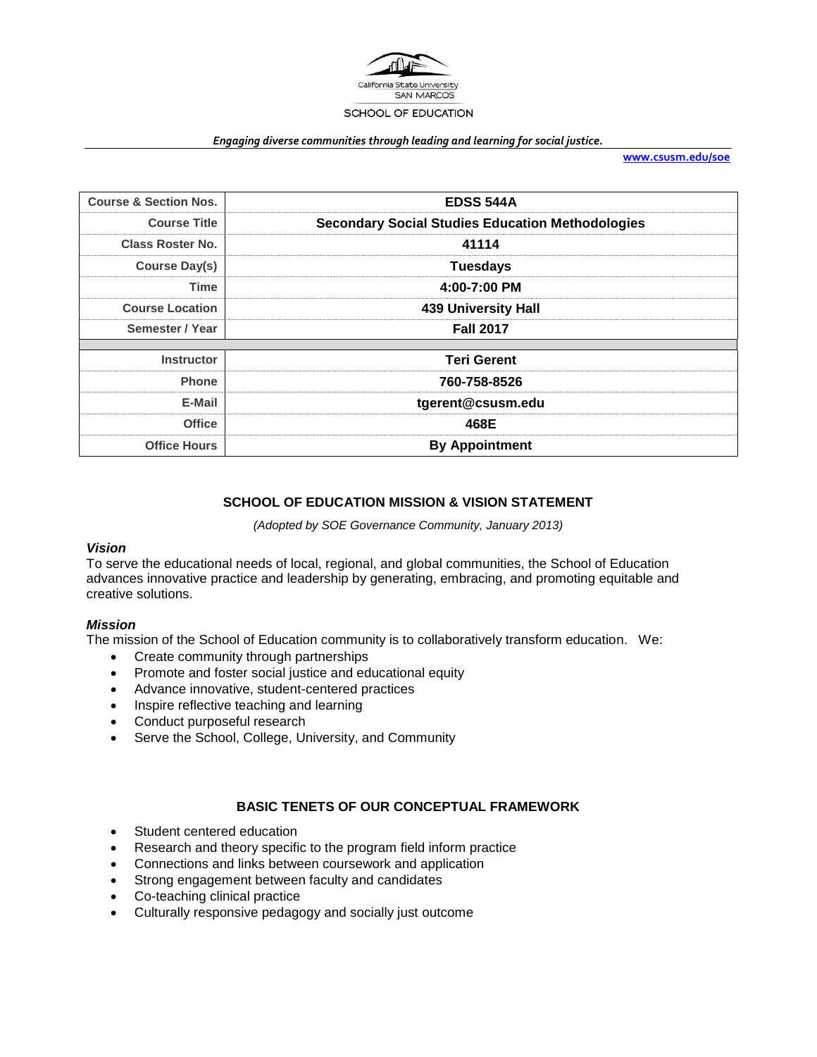

#### *Engaging diverse communities through leading and learning for social justice.*

**[www.csusm.edu/soe](http://www.csusm.edu/soe)**

| <b>Course &amp; Section Nos.</b> | <b>EDSS 544A</b>                                        |  |  |
|----------------------------------|---------------------------------------------------------|--|--|
| <b>Course Title</b>              | <b>Secondary Social Studies Education Methodologies</b> |  |  |
| <b>Class Roster No.</b>          | 41114                                                   |  |  |
| <b>Course Day(s)</b>             | <b>Tuesdays</b>                                         |  |  |
| <b>Time</b>                      | 4:00-7:00 PM                                            |  |  |
| <b>Course Location</b>           | <b>439 University Hall</b>                              |  |  |
| Semester / Year                  | <b>Fall 2017</b>                                        |  |  |
|                                  |                                                         |  |  |
| <b>Instructor</b>                | <b>Teri Gerent</b>                                      |  |  |
| <b>Phone</b>                     | 760-758-8526                                            |  |  |
| E-Mail                           | tgerent@csusm.edu                                       |  |  |
| <b>Office</b>                    | 468E                                                    |  |  |
| <b>Office Hours</b>              | <b>By Appointment</b>                                   |  |  |

## **SCHOOL OF EDUCATION MISSION & VISION STATEMENT**

*(Adopted by SOE Governance Community, January 2013)*

## *Vision*

To serve the educational needs of local, regional, and global communities, the School of Education advances innovative practice and leadership by generating, embracing, and promoting equitable and creative solutions.

## *Mission*

The mission of the School of Education community is to collaboratively transform education. We:

- Create community through partnerships
- Promote and foster social justice and educational equity
- Advance innovative, student-centered practices
- Inspire reflective teaching and learning
- Conduct purposeful research
- Serve the School, College, University, and Community

## **BASIC TENETS OF OUR CONCEPTUAL FRAMEWORK**

- Student centered education
- Research and theory specific to the program field inform practice
- Connections and links between coursework and application
- Strong engagement between faculty and candidates
- Co-teaching clinical practice
- Culturally responsive pedagogy and socially just outcome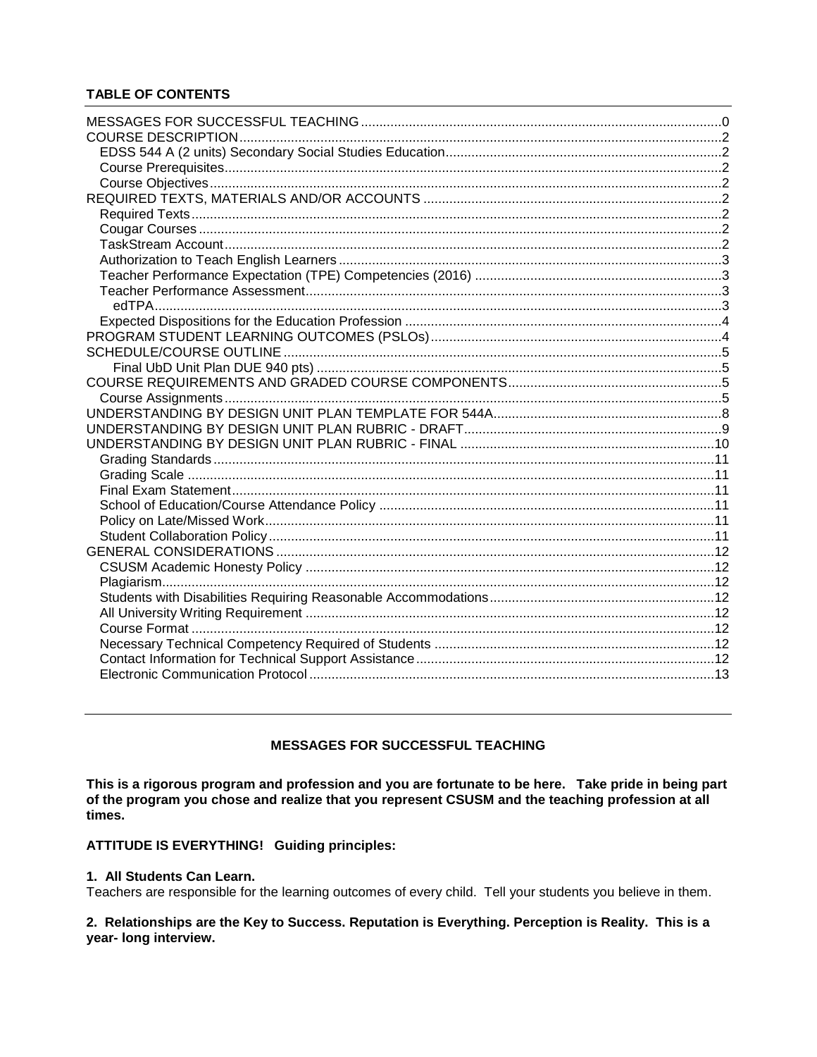# **TABLE OF CONTENTS**

# **MESSAGES FOR SUCCESSFUL TEACHING**

<span id="page-1-0"></span>This is a rigorous program and profession and you are fortunate to be here. Take pride in being part of the program you chose and realize that you represent CSUSM and the teaching profession at all times.

# **ATTITUDE IS EVERYTHING! Guiding principles:**

# 1. All Students Can Learn.

Teachers are responsible for the learning outcomes of every child. Tell your students you believe in them.

# 2. Relationships are the Key to Success. Reputation is Everything. Perception is Reality. This is a year- long interview.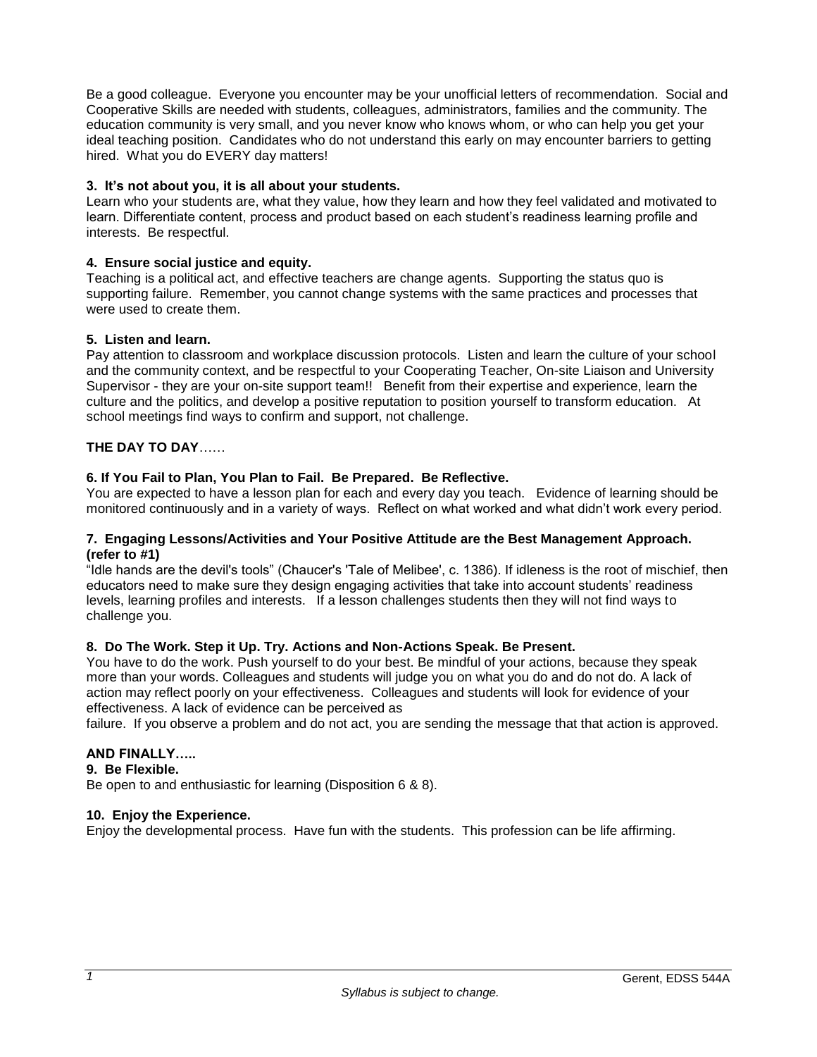Be a good colleague. Everyone you encounter may be your unofficial letters of recommendation. Social and Cooperative Skills are needed with students, colleagues, administrators, families and the community. The education community is very small, and you never know who knows whom, or who can help you get your ideal teaching position. Candidates who do not understand this early on may encounter barriers to getting hired. What you do EVERY day matters!

## **3. It's not about you, it is all about your students.**

Learn who your students are, what they value, how they learn and how they feel validated and motivated to learn. Differentiate content, process and product based on each student's readiness learning profile and interests. Be respectful.

## **4. Ensure social justice and equity.**

Teaching is a political act, and effective teachers are change agents. Supporting the status quo is supporting failure. Remember, you cannot change systems with the same practices and processes that were used to create them.

## **5. Listen and learn.**

Pay attention to classroom and workplace discussion protocols. Listen and learn the culture of your school and the community context, and be respectful to your Cooperating Teacher, On-site Liaison and University Supervisor - they are your on-site support team!! Benefit from their expertise and experience, learn the culture and the politics, and develop a positive reputation to position yourself to transform education. At school meetings find ways to confirm and support, not challenge.

## **THE DAY TO DAY**……

## **6. If You Fail to Plan, You Plan to Fail. Be Prepared. Be Reflective.**

You are expected to have a lesson plan for each and every day you teach. Evidence of learning should be monitored continuously and in a variety of ways. Reflect on what worked and what didn't work every period.

## **7. Engaging Lessons/Activities and Your Positive Attitude are the Best Management Approach. (refer to #1)**

"Idle hands are the devil's tools" (Chaucer's 'Tale of Melibee', c. 1386). If idleness is the root of mischief, then educators need to make sure they design engaging activities that take into account students' readiness levels, learning profiles and interests. If a lesson challenges students then they will not find ways to challenge you.

## **8. Do The Work. Step it Up. Try. Actions and Non-Actions Speak. Be Present.**

You have to do the work. Push yourself to do your best. Be mindful of your actions, because they speak more than your words. Colleagues and students will judge you on what you do and do not do. A lack of action may reflect poorly on your effectiveness. Colleagues and students will look for evidence of your effectiveness. A lack of evidence can be perceived as

failure. If you observe a problem and do not act, you are sending the message that that action is approved.

## **AND FINALLY…..**

## **9. Be Flexible.**

Be open to and enthusiastic for learning (Disposition 6 & 8).

## **10. Enjoy the Experience.**

Enjoy the developmental process. Have fun with the students. This profession can be life affirming.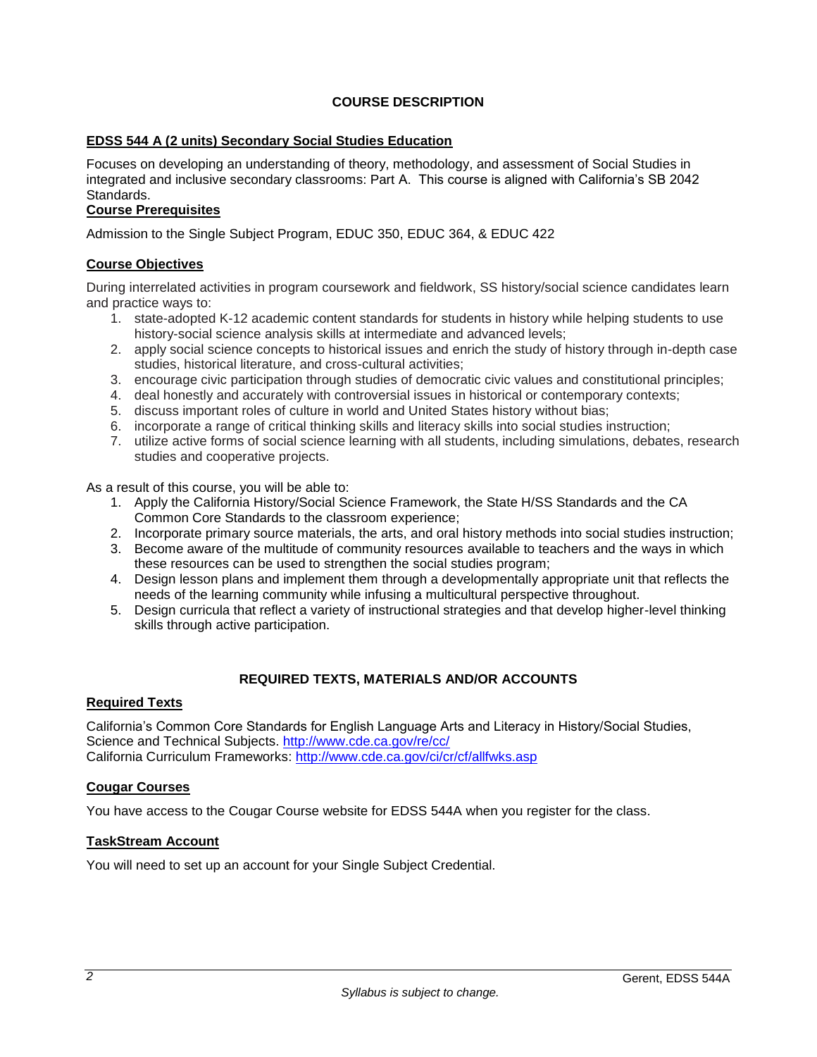# **COURSE DESCRIPTION**

## <span id="page-3-1"></span><span id="page-3-0"></span>**EDSS 544 A (2 units) Secondary Social Studies Education**

Focuses on developing an understanding of theory, methodology, and assessment of Social Studies in integrated and inclusive secondary classrooms: Part A. This course is aligned with California's SB 2042 Standards.

## <span id="page-3-2"></span>**Course Prerequisites**

Admission to the Single Subject Program, EDUC 350, EDUC 364, & EDUC 422

## <span id="page-3-3"></span>**Course Objectives**

During interrelated activities in program coursework and fieldwork, SS history/social science candidates learn and practice ways to:

- 1. state-adopted K-12 academic content standards for students in history while helping students to use history-social science analysis skills at intermediate and advanced levels;
- 2. apply social science concepts to historical issues and enrich the study of history through in-depth case studies, historical literature, and cross-cultural activities;
- 3. encourage civic participation through studies of democratic civic values and constitutional principles;
- 4. deal honestly and accurately with controversial issues in historical or contemporary contexts;
- 5. discuss important roles of culture in world and United States history without bias;
- 6. incorporate a range of critical thinking skills and literacy skills into social studies instruction;
- 7. utilize active forms of social science learning with all students, including simulations, debates, research studies and cooperative projects.

As a result of this course, you will be able to:

- 1. Apply the California History/Social Science Framework, the State H/SS Standards and the CA Common Core Standards to the classroom experience;
- 2. Incorporate primary source materials, the arts, and oral history methods into social studies instruction;
- 3. Become aware of the multitude of community resources available to teachers and the ways in which these resources can be used to strengthen the social studies program;
- 4. Design lesson plans and implement them through a developmentally appropriate unit that reflects the needs of the learning community while infusing a multicultural perspective throughout.
- 5. Design curricula that reflect a variety of instructional strategies and that develop higher-level thinking skills through active participation.

## **REQUIRED TEXTS, MATERIALS AND/OR ACCOUNTS**

## <span id="page-3-5"></span><span id="page-3-4"></span>**Required Texts**

California's Common Core Standards for English Language Arts and Literacy in History/Social Studies, Science and Technical Subjects.<http://www.cde.ca.gov/re/cc/> California Curriculum Frameworks: <http://www.cde.ca.gov/ci/cr/cf/allfwks.asp>

## <span id="page-3-6"></span>**Cougar Courses**

You have access to the Cougar Course website for EDSS 544A when you register for the class.

## <span id="page-3-7"></span>**TaskStream Account**

You will need to set up an account for your Single Subject Credential.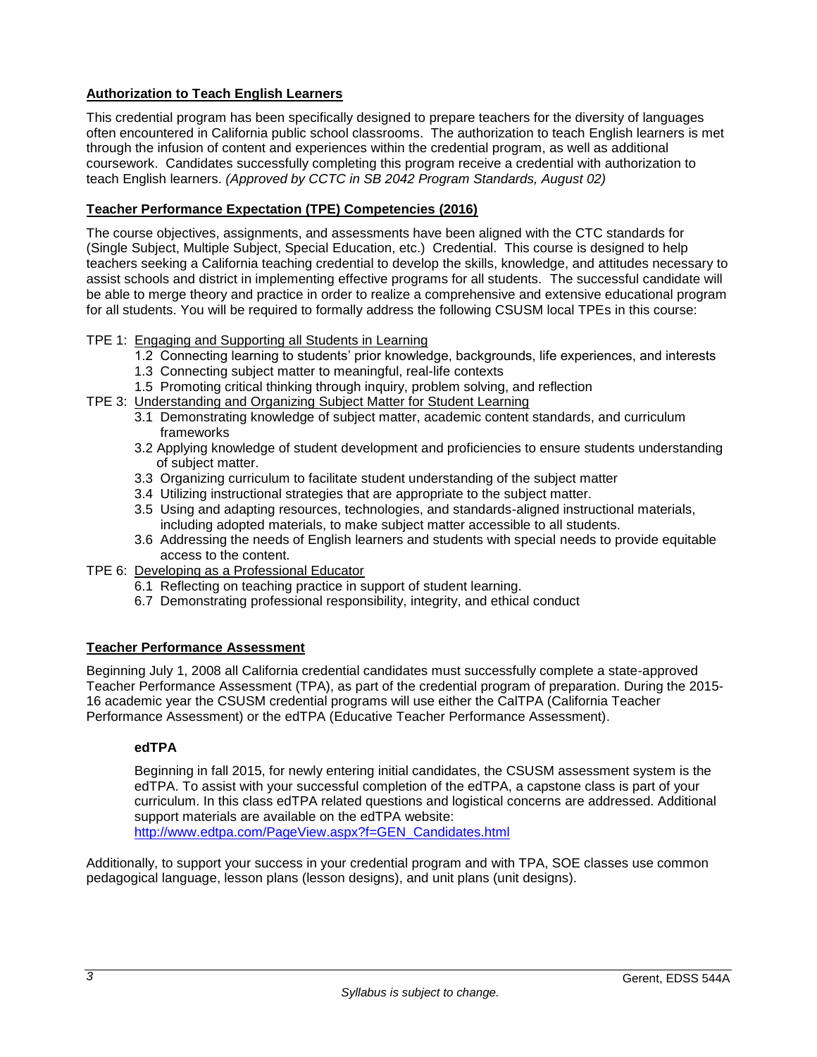# <span id="page-4-0"></span>**Authorization to Teach English Learners**

This credential program has been specifically designed to prepare teachers for the diversity of languages often encountered in California public school classrooms. The authorization to teach English learners is met through the infusion of content and experiences within the credential program, as well as additional coursework. Candidates successfully completing this program receive a credential with authorization to teach English learners. *(Approved by CCTC in SB 2042 Program Standards, August 02)*

# <span id="page-4-1"></span>**Teacher Performance Expectation (TPE) Competencies (2016)**

The course objectives, assignments, and assessments have been aligned with the CTC standards for (Single Subject, Multiple Subject, Special Education, etc.) Credential. This course is designed to help teachers seeking a California teaching credential to develop the skills, knowledge, and attitudes necessary to assist schools and district in implementing effective programs for all students. The successful candidate will be able to merge theory and practice in order to realize a comprehensive and extensive educational program for all students. You will be required to formally address the following CSUSM local TPEs in this course:

## TPE 1: Engaging and Supporting all Students in Learning

- 1.2 Connecting learning to students' prior knowledge, backgrounds, life experiences, and interests
- 1.3 Connecting subject matter to meaningful, real-life contexts
- 1.5 Promoting critical thinking through inquiry, problem solving, and reflection
- TPE 3: Understanding and Organizing Subject Matter for Student Learning
	- 3.1 Demonstrating knowledge of subject matter, academic content standards, and curriculum frameworks
	- 3.2 Applying knowledge of student development and proficiencies to ensure students understanding of subject matter.
	- 3.3 Organizing curriculum to facilitate student understanding of the subject matter
	- 3.4 Utilizing instructional strategies that are appropriate to the subject matter.
	- 3.5 Using and adapting resources, technologies, and standards-aligned instructional materials, including adopted materials, to make subject matter accessible to all students.
	- 3.6 Addressing the needs of English learners and students with special needs to provide equitable access to the content.
- TPE 6: Developing as a Professional Educator
	- 6.1 Reflecting on teaching practice in support of student learning.
	- 6.7 Demonstrating professional responsibility, integrity, and ethical conduct

## <span id="page-4-2"></span>**Teacher Performance Assessment**

Beginning July 1, 2008 all California credential candidates must successfully complete a state-approved Teacher Performance Assessment (TPA), as part of the credential program of preparation. During the 2015- 16 academic year the CSUSM credential programs will use either the CalTPA (California Teacher Performance Assessment) or the edTPA (Educative Teacher Performance Assessment).

## <span id="page-4-3"></span>**edTPA**

Beginning in fall 2015, for newly entering initial candidates, the CSUSM assessment system is the edTPA. To assist with your successful completion of the edTPA, a capstone class is part of your curriculum. In this class edTPA related questions and logistical concerns are addressed. Additional support materials are available on the edTPA website: [http://www.edtpa.com/PageView.aspx?f=GEN\\_Candidates.html](http://www.edtpa.com/PageView.aspx?f=GEN_Candidates.html)

Additionally, to support your success in your credential program and with TPA, SOE classes use common pedagogical language, lesson plans (lesson designs), and unit plans (unit designs).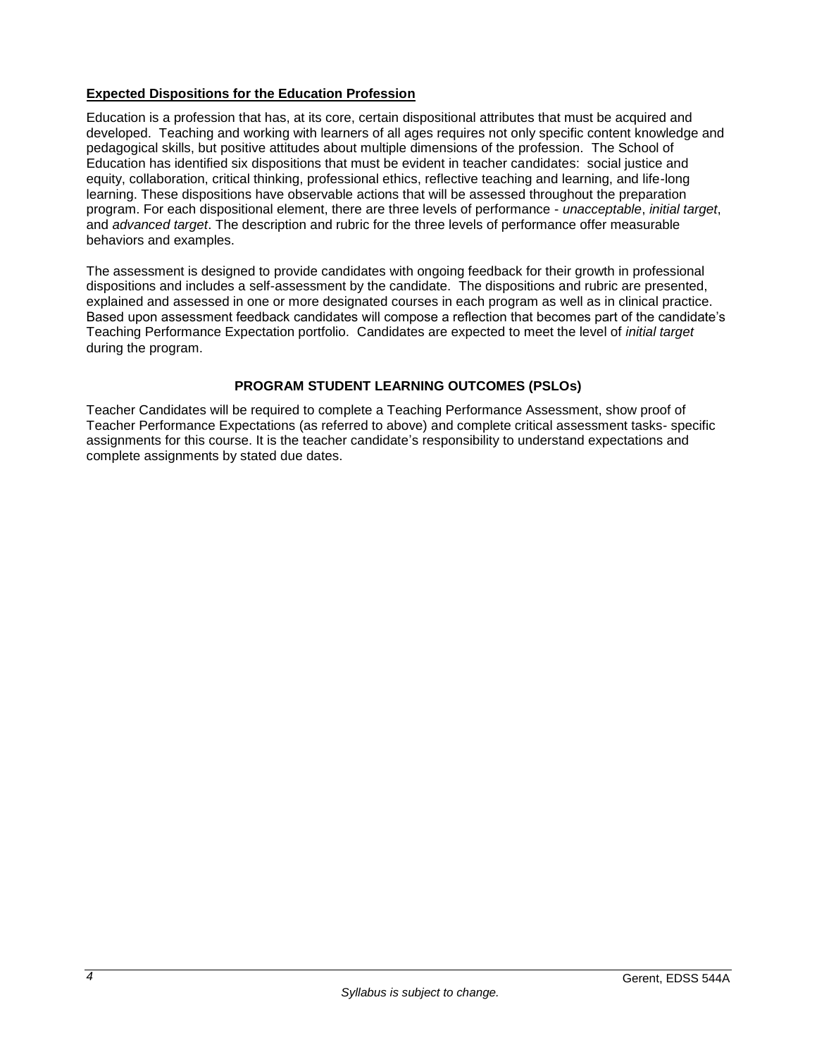## <span id="page-5-0"></span>**Expected Dispositions for the Education Profession**

Education is a profession that has, at its core, certain dispositional attributes that must be acquired and developed. Teaching and working with learners of all ages requires not only specific content knowledge and pedagogical skills, but positive attitudes about multiple dimensions of the profession. The School of Education has identified six dispositions that must be evident in teacher candidates: social justice and equity, collaboration, critical thinking, professional ethics, reflective teaching and learning, and life-long learning. These dispositions have observable actions that will be assessed throughout the preparation program. For each dispositional element, there are three levels of performance - *unacceptable*, *initial target*, and *advanced target*. The description and rubric for the three levels of performance offer measurable behaviors and examples.

The assessment is designed to provide candidates with ongoing feedback for their growth in professional dispositions and includes a self-assessment by the candidate. The dispositions and rubric are presented, explained and assessed in one or more designated courses in each program as well as in clinical practice. Based upon assessment feedback candidates will compose a reflection that becomes part of the candidate's Teaching Performance Expectation portfolio. Candidates are expected to meet the level of *initial target* during the program.

# **PROGRAM STUDENT LEARNING OUTCOMES (PSLOs)**

<span id="page-5-1"></span>Teacher Candidates will be required to complete a Teaching Performance Assessment, show proof of Teacher Performance Expectations (as referred to above) and complete critical assessment tasks- specific assignments for this course. It is the teacher candidate's responsibility to understand expectations and complete assignments by stated due dates.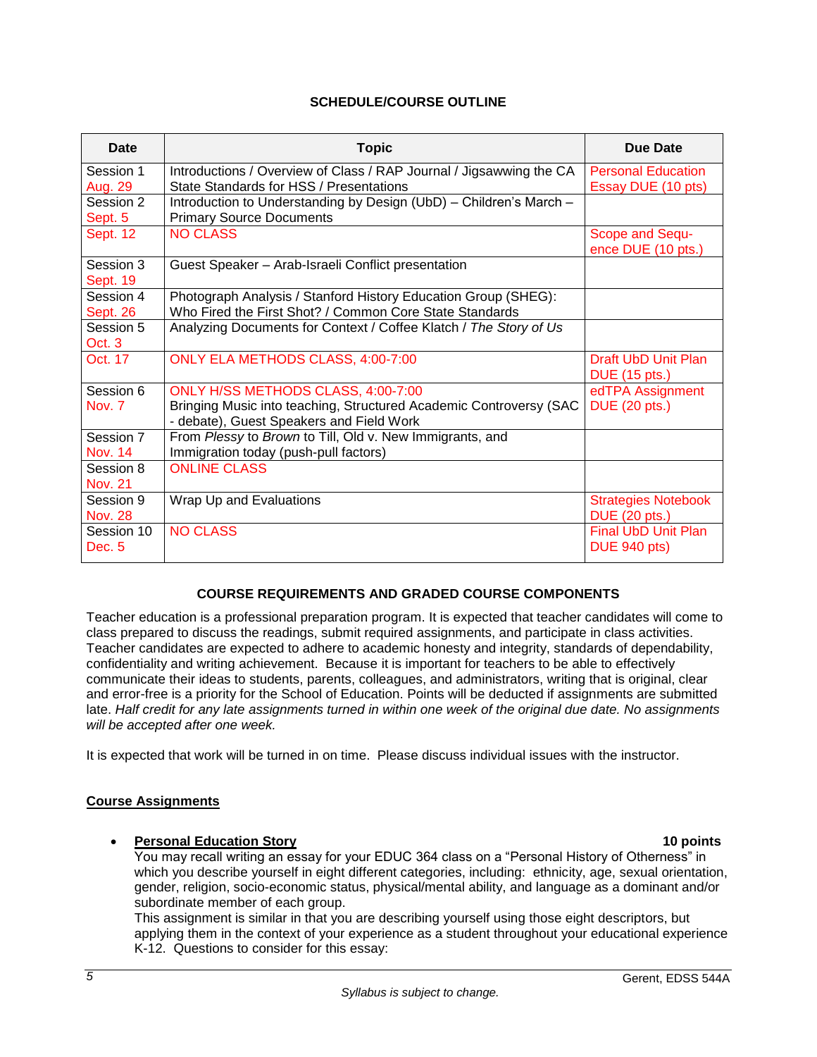# **SCHEDULE/COURSE OUTLINE**

<span id="page-6-0"></span>

| <b>Date</b>                  | <b>Topic</b>                                                                                                                                         | Due Date                                           |
|------------------------------|------------------------------------------------------------------------------------------------------------------------------------------------------|----------------------------------------------------|
| Session 1<br>Aug. 29         | Introductions / Overview of Class / RAP Journal / Jigsawwing the CA<br>State Standards for HSS / Presentations                                       | <b>Personal Education</b><br>Essay DUE (10 pts)    |
| Session 2<br>Sept. 5         | Introduction to Understanding by Design (UbD) - Children's March -<br><b>Primary Source Documents</b>                                                |                                                    |
| <b>Sept. 12</b>              | <b>NO CLASS</b>                                                                                                                                      | Scope and Sequ-<br>ence DUE (10 pts.)              |
| Session 3<br><b>Sept. 19</b> | Guest Speaker - Arab-Israeli Conflict presentation                                                                                                   |                                                    |
| Session 4<br>Sept. 26        | Photograph Analysis / Stanford History Education Group (SHEG):<br>Who Fired the First Shot? / Common Core State Standards                            |                                                    |
| Session 5<br>Oct. 3          | Analyzing Documents for Context / Coffee Klatch / The Story of Us                                                                                    |                                                    |
| Oct. 17                      | ONLY ELA METHODS CLASS, 4:00-7:00                                                                                                                    | Draft UbD Unit Plan<br><b>DUE</b> (15 pts.)        |
| Session 6<br>Nov. 7          | ONLY H/SS METHODS CLASS, 4:00-7:00<br>Bringing Music into teaching, Structured Academic Controversy (SAC<br>- debate), Guest Speakers and Field Work | edTPA Assignment<br><b>DUE</b> (20 pts.)           |
| Session 7<br><b>Nov. 14</b>  | From Plessy to Brown to Till, Old v. New Immigrants, and<br>Immigration today (push-pull factors)                                                    |                                                    |
| Session 8<br><b>Nov. 21</b>  | <b>ONLINE CLASS</b>                                                                                                                                  |                                                    |
| Session 9<br><b>Nov. 28</b>  | Wrap Up and Evaluations                                                                                                                              | <b>Strategies Notebook</b><br><b>DUE (20 pts.)</b> |
| Session 10<br>Dec. 5         | <b>NO CLASS</b>                                                                                                                                      | <b>Final UbD Unit Plan</b><br><b>DUE 940 pts)</b>  |

# <span id="page-6-1"></span>**COURSE REQUIREMENTS AND GRADED COURSE COMPONENTS**

<span id="page-6-2"></span>Teacher education is a professional preparation program. It is expected that teacher candidates will come to class prepared to discuss the readings, submit required assignments, and participate in class activities. Teacher candidates are expected to adhere to academic honesty and integrity, standards of dependability, confidentiality and writing achievement. Because it is important for teachers to be able to effectively communicate their ideas to students, parents, colleagues, and administrators, writing that is original, clear and error-free is a priority for the School of Education. Points will be deducted if assignments are submitted late. *Half credit for any late assignments turned in within one week of the original due date. No assignments will be accepted after one week.*

It is expected that work will be turned in on time. Please discuss individual issues with the instructor.

## <span id="page-6-3"></span>**Course Assignments**

## **Personal Education Story 10 points**

You may recall writing an essay for your EDUC 364 class on a "Personal History of Otherness" in which you describe yourself in eight different categories, including: ethnicity, age, sexual orientation, gender, religion, socio-economic status, physical/mental ability, and language as a dominant and/or subordinate member of each group.

This assignment is similar in that you are describing yourself using those eight descriptors, but applying them in the context of your experience as a student throughout your educational experience K-12. Questions to consider for this essay: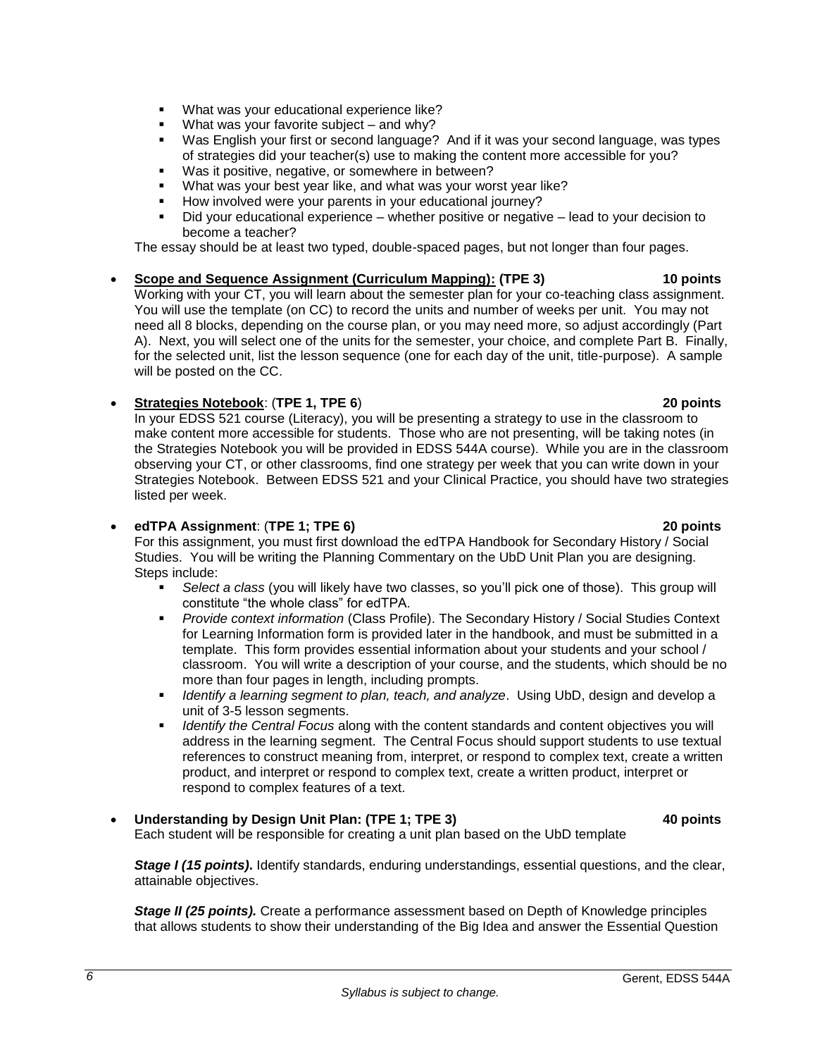- What was your educational experience like?
- What was your favorite subject and why?
- Was English your first or second language? And if it was your second language, was types of strategies did your teacher(s) use to making the content more accessible for you?
- Was it positive, negative, or somewhere in between?
- What was your best year like, and what was your worst year like?
- How involved were your parents in your educational journey?
- Did your educational experience whether positive or negative lead to your decision to become a teacher?

The essay should be at least two typed, double-spaced pages, but not longer than four pages.

 **Scope and Sequence Assignment (Curriculum Mapping): (TPE 3) 10 points** Working with your CT, you will learn about the semester plan for your co-teaching class assignment. You will use the template (on CC) to record the units and number of weeks per unit. You may not need all 8 blocks, depending on the course plan, or you may need more, so adjust accordingly (Part A). Next, you will select one of the units for the semester, your choice, and complete Part B. Finally, for the selected unit, list the lesson sequence (one for each day of the unit, title-purpose). A sample will be posted on the CC.

# **Strategies Notebook**: (**TPE 1, TPE 6**) **20 points**

In your EDSS 521 course (Literacy), you will be presenting a strategy to use in the classroom to make content more accessible for students. Those who are not presenting, will be taking notes (in the Strategies Notebook you will be provided in EDSS 544A course). While you are in the classroom observing your CT, or other classrooms, find one strategy per week that you can write down in your Strategies Notebook. Between EDSS 521 and your Clinical Practice, you should have two strategies listed per week.

## **edTPA Assignment**: (**TPE 1; TPE 6) 20 points**

*6*

For this assignment, you must first download the edTPA Handbook for Secondary History / Social Studies. You will be writing the Planning Commentary on the UbD Unit Plan you are designing. Steps include:

- *Select a class* (you will likely have two classes, so you'll pick one of those). This group will constitute "the whole class" for edTPA.
- *Provide context information* (Class Profile). The Secondary History / Social Studies Context for Learning Information form is provided later in the handbook, and must be submitted in a template. This form provides essential information about your students and your school / classroom. You will write a description of your course, and the students, which should be no more than four pages in length, including prompts.
- *Identify a learning segment to plan, teach, and analyze*. Using UbD, design and develop a unit of 3-5 lesson segments.
- *Identify the Central Focus* along with the content standards and content objectives you will address in the learning segment. The Central Focus should support students to use textual references to construct meaning from, interpret, or respond to complex text, create a written product, and interpret or respond to complex text, create a written product, interpret or respond to complex features of a text.

# **Understanding by Design Unit Plan: (TPE 1; TPE 3) 40 points**

Each student will be responsible for creating a unit plan based on the UbD template

*Stage I (15 points)***.** Identify standards, enduring understandings, essential questions, and the clear, attainable objectives.

**Stage II** (25 points). Create a performance assessment based on Depth of Knowledge principles that allows students to show their understanding of the Big Idea and answer the Essential Question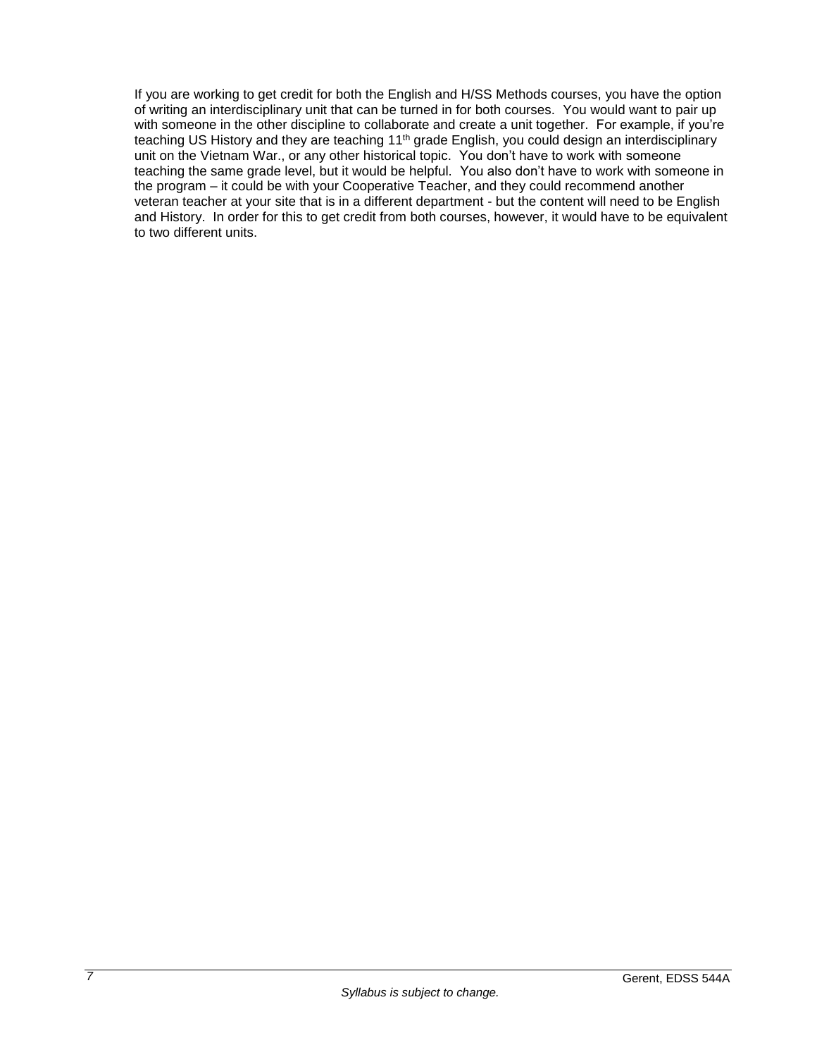If you are working to get credit for both the English and H/SS Methods courses, you have the option of writing an interdisciplinary unit that can be turned in for both courses. You would want to pair up with someone in the other discipline to collaborate and create a unit together. For example, if you're teaching US History and they are teaching 11<sup>th</sup> grade English, you could design an interdisciplinary unit on the Vietnam War., or any other historical topic. You don't have to work with someone teaching the same grade level, but it would be helpful. You also don't have to work with someone in the program – it could be with your Cooperative Teacher, and they could recommend another veteran teacher at your site that is in a different department - but the content will need to be English and History. In order for this to get credit from both courses, however, it would have to be equivalent to two different units.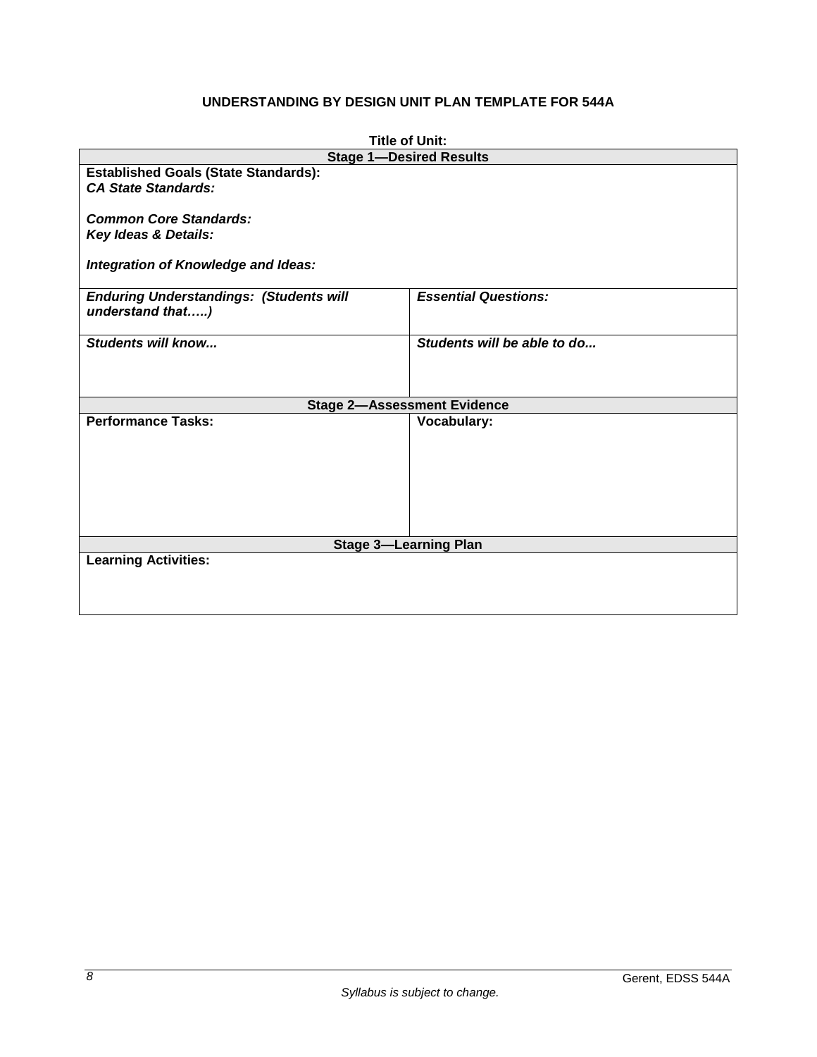# **UNDERSTANDING BY DESIGN UNIT PLAN TEMPLATE FOR 544A**

<span id="page-9-0"></span>

| <b>Title of Unit:</b>                                                     |                             |  |  |  |
|---------------------------------------------------------------------------|-----------------------------|--|--|--|
| <b>Stage 1-Desired Results</b>                                            |                             |  |  |  |
| <b>Established Goals (State Standards):</b><br><b>CA State Standards:</b> |                             |  |  |  |
| <b>Common Core Standards:</b><br>Key Ideas & Details:                     |                             |  |  |  |
| Integration of Knowledge and Ideas:                                       |                             |  |  |  |
| <b>Enduring Understandings: (Students will</b><br>understand that)        | <b>Essential Questions:</b> |  |  |  |
| Students will know                                                        | Students will be able to do |  |  |  |
| <b>Stage 2-Assessment Evidence</b>                                        |                             |  |  |  |
| <b>Performance Tasks:</b>                                                 | <b>Vocabulary:</b>          |  |  |  |
| <b>Stage 3-Learning Plan</b>                                              |                             |  |  |  |
| <b>Learning Activities:</b>                                               |                             |  |  |  |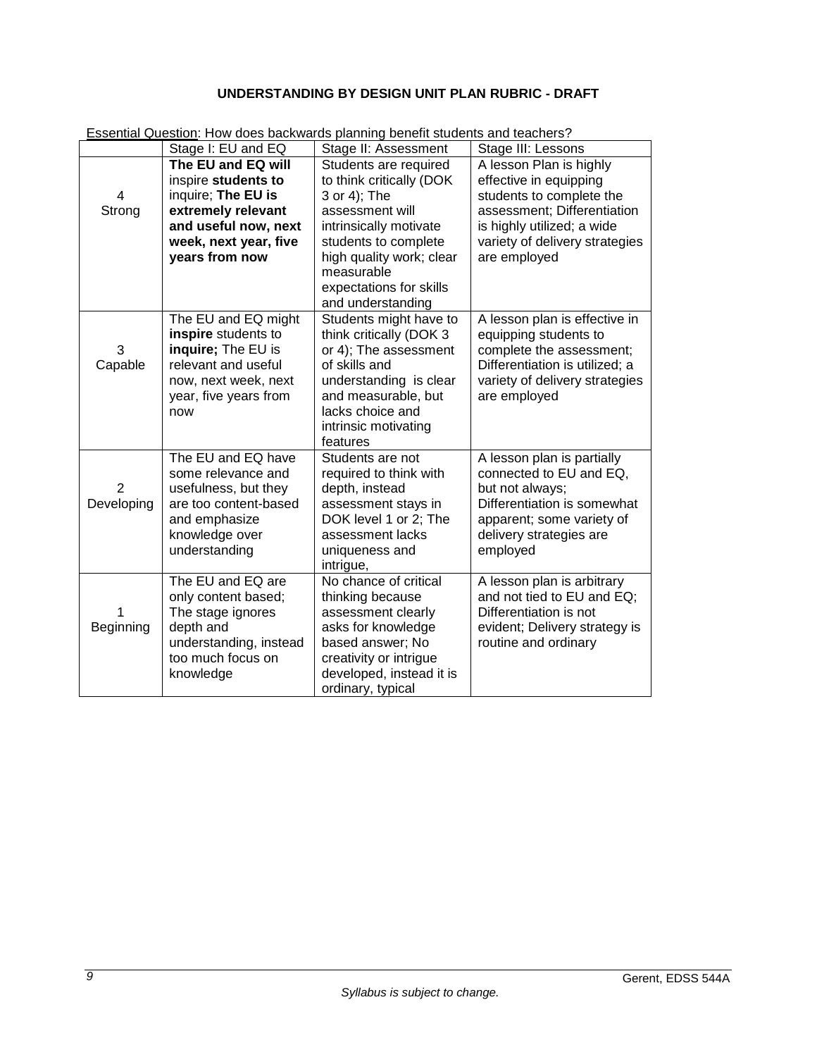# **UNDERSTANDING BY DESIGN UNIT PLAN RUBRIC - DRAFT**

|                | Stage I: EU and EQ     | Stage II: Assessment         | Stage III: Lessons             |
|----------------|------------------------|------------------------------|--------------------------------|
|                | The EU and EQ will     | Students are required        | A lesson Plan is highly        |
|                | inspire students to    | to think critically (DOK     | effective in equipping         |
| 4              | inquire; The EU is     | 3 or 4); The                 | students to complete the       |
| Strong         | extremely relevant     | assessment will              | assessment; Differentiation    |
|                | and useful now, next   | intrinsically motivate       | is highly utilized; a wide     |
|                | week, next year, five  | students to complete         | variety of delivery strategies |
|                | years from now         | high quality work; clear     | are employed                   |
|                |                        | measurable                   |                                |
|                |                        | expectations for skills      |                                |
|                |                        | and understanding            |                                |
|                | The EU and EQ might    | Students might have to       | A lesson plan is effective in  |
|                | inspire students to    | think critically (DOK 3      | equipping students to          |
| 3              | inquire; The EU is     | or 4); The assessment        | complete the assessment;       |
| Capable        | relevant and useful    | of skills and                | Differentiation is utilized; a |
|                | now, next week, next   | understanding is clear       | variety of delivery strategies |
|                | year, five years from  | and measurable, but          | are employed                   |
|                | now                    | lacks choice and             |                                |
|                |                        | intrinsic motivating         |                                |
|                | The EU and EQ have     | features<br>Students are not | A lesson plan is partially     |
|                | some relevance and     | required to think with       | connected to EU and EQ,        |
| $\overline{2}$ | usefulness, but they   | depth, instead               | but not always;                |
| Developing     | are too content-based  | assessment stays in          | Differentiation is somewhat    |
|                | and emphasize          | DOK level 1 or 2; The        | apparent; some variety of      |
|                | knowledge over         | assessment lacks             | delivery strategies are        |
|                | understanding          | uniqueness and               | employed                       |
|                |                        | intrigue,                    |                                |
|                | The EU and EQ are      | No chance of critical        | A lesson plan is arbitrary     |
|                | only content based;    | thinking because             | and not tied to EU and EQ;     |
|                | The stage ignores      | assessment clearly           | Differentiation is not         |
| Beginning      | depth and              | asks for knowledge           | evident; Delivery strategy is  |
|                | understanding, instead | based answer; No             | routine and ordinary           |
|                | too much focus on      | creativity or intrigue       |                                |
|                | knowledge              | developed, instead it is     |                                |
|                |                        | ordinary, typical            |                                |

<span id="page-10-0"></span>Essential Question: How does backwards planning benefit students and teachers?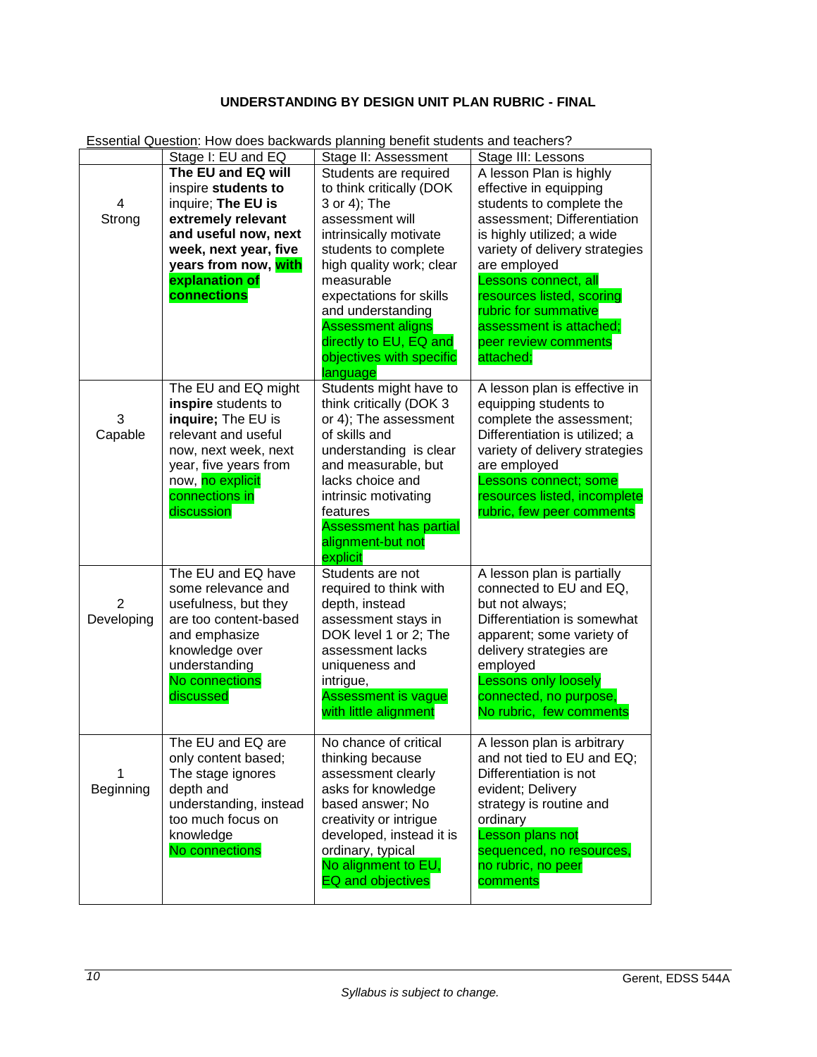# **UNDERSTANDING BY DESIGN UNIT PLAN RUBRIC - FINAL**

|            | Stage I: EU and EQ                            | Stage II: Assessment                              | Stage III: Lessons                                     |
|------------|-----------------------------------------------|---------------------------------------------------|--------------------------------------------------------|
|            | The EU and EQ will                            | Students are required                             | A lesson Plan is highly                                |
|            | inspire students to                           | to think critically (DOK                          | effective in equipping                                 |
| 4          | inquire; The EU is                            | 3 or 4); The                                      | students to complete the                               |
| Strong     | extremely relevant                            | assessment will                                   | assessment; Differentiation                            |
|            | and useful now, next                          | intrinsically motivate                            | is highly utilized; a wide                             |
|            | week, next year, five                         | students to complete                              | variety of delivery strategies                         |
|            | years from now, with                          | high quality work; clear                          | are employed                                           |
|            | explanation of                                | measurable                                        | Lessons connect, all                                   |
|            | connections                                   | expectations for skills                           | resources listed, scoring                              |
|            |                                               | and understanding                                 | rubric for summative                                   |
|            |                                               | <b>Assessment aligns</b>                          | assessment is attached;                                |
|            |                                               | directly to EU, EQ and                            | peer review comments                                   |
|            |                                               | objectives with specific                          | attached;                                              |
|            |                                               | language                                          |                                                        |
|            | The EU and EQ might<br>inspire students to    | Students might have to<br>think critically (DOK 3 | A lesson plan is effective in<br>equipping students to |
| 3          | inquire; The EU is                            | or 4); The assessment                             | complete the assessment;                               |
| Capable    | relevant and useful                           | of skills and                                     | Differentiation is utilized; a                         |
|            | now, next week, next                          | understanding is clear                            | variety of delivery strategies                         |
|            | year, five years from                         | and measurable, but                               | are employed                                           |
|            | now, no explicit                              | lacks choice and                                  | Lessons connect; some                                  |
|            | connections in                                | intrinsic motivating                              | resources listed, incomplete                           |
|            | discussion                                    | features                                          | rubric, few peer comments                              |
|            |                                               | <b>Assessment has partial</b>                     |                                                        |
|            |                                               | alignment-but not                                 |                                                        |
|            |                                               | explicit                                          |                                                        |
|            | The EU and EQ have                            | Students are not                                  | A lesson plan is partially                             |
| 2          | some relevance and                            | required to think with                            | connected to EU and EQ,                                |
| Developing | usefulness, but they<br>are too content-based | depth, instead<br>assessment stays in             | but not always;<br>Differentiation is somewhat         |
|            | and emphasize                                 | DOK level 1 or 2; The                             | apparent; some variety of                              |
|            | knowledge over                                | assessment lacks                                  | delivery strategies are                                |
|            | understanding                                 | uniqueness and                                    | employed                                               |
|            | No connections                                | intrigue,                                         | <b>Lessons only loosely</b>                            |
|            | discussed                                     | <b>Assessment is vague</b>                        | connected, no purpose,                                 |
|            |                                               | with little alignment                             | No rubric, few comments                                |
|            |                                               |                                                   |                                                        |
|            | The EU and EQ are                             | No chance of critical                             | A lesson plan is arbitrary                             |
|            | only content based;                           | thinking because                                  | and not tied to EU and EQ;                             |
|            | The stage ignores                             | assessment clearly                                | Differentiation is not                                 |
| Beginning  | depth and                                     | asks for knowledge                                | evident; Delivery                                      |
|            | understanding, instead<br>too much focus on   | based answer; No<br>creativity or intrigue        | strategy is routine and<br>ordinary                    |
|            | knowledge                                     | developed, instead it is                          | Lesson plans not                                       |
|            | No connections                                | ordinary, typical                                 | sequenced, no resources,                               |
|            |                                               | No alignment to EU,                               | no rubric, no peer                                     |
|            |                                               | <b>EQ and objectives</b>                          | comments                                               |
|            |                                               |                                                   |                                                        |

<span id="page-11-0"></span>Essential Question: How does backwards planning benefit students and teachers?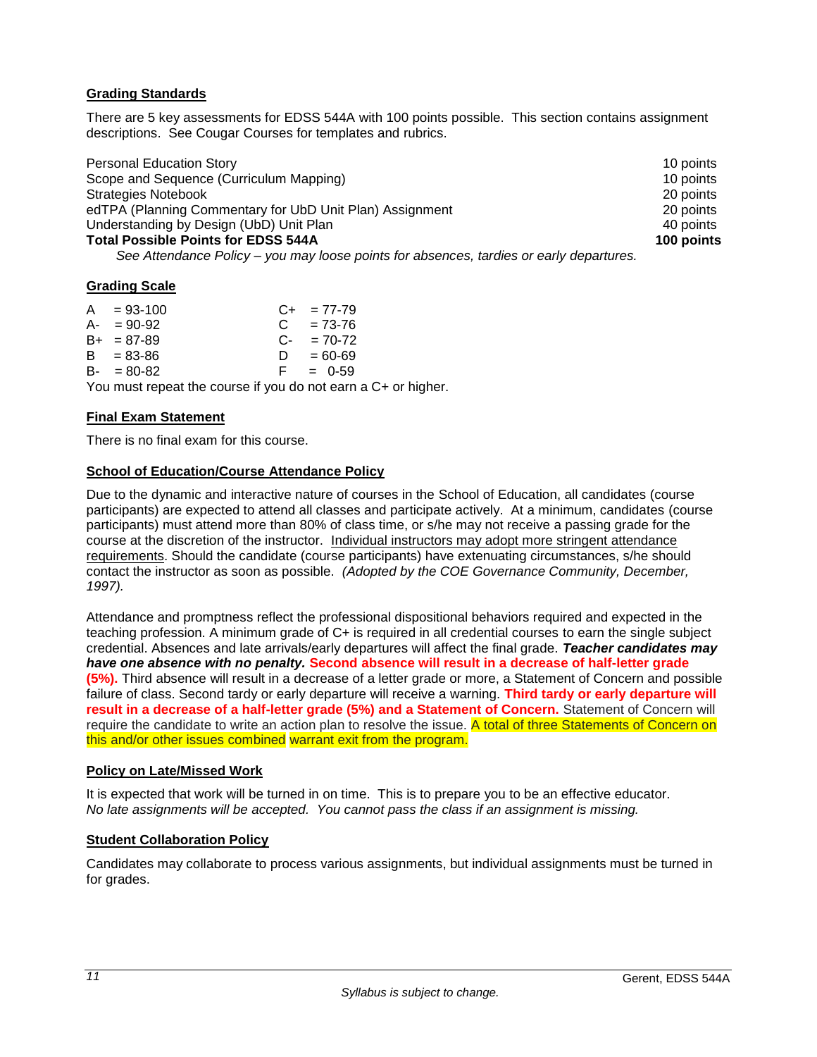# <span id="page-12-0"></span>**Grading Standards**

There are 5 key assessments for EDSS 544A with 100 points possible. This section contains assignment descriptions. See Cougar Courses for templates and rubrics.

| <b>Personal Education Story</b>                                                     | 10 points  |
|-------------------------------------------------------------------------------------|------------|
| Scope and Sequence (Curriculum Mapping)                                             | 10 points  |
| <b>Strategies Notebook</b>                                                          | 20 points  |
| edTPA (Planning Commentary for UbD Unit Plan) Assignment                            | 20 points  |
| Understanding by Design (UbD) Unit Plan                                             | 40 points  |
| <b>Total Possible Points for EDSS 544A</b>                                          | 100 points |
| Can Attondance Deliau wau mau loose nointe for obecnose terding ar sarly departures |            |

 *See Attendance Policy – you may loose points for absences, tardies or early departures.*

# <span id="page-12-1"></span>**Grading Scale**

| $A = 93-100$    |  |    | $C_{+}$ = 77-79          |  |
|-----------------|--|----|--------------------------|--|
| $A - 90-92$     |  |    | $C = 73-76$              |  |
| $B_{+}$ = 87-89 |  |    | $C_{\text{F}} = 70 - 72$ |  |
| $B = 83 - 86$   |  | D. | $= 60 - 69$              |  |
| $B - = 80 - 82$ |  | E. | $= 0.59$                 |  |
|                 |  |    |                          |  |

You must repeat the course if you do not earn a C+ or higher.

## <span id="page-12-2"></span>**Final Exam Statement**

There is no final exam for this course.

## <span id="page-12-3"></span>**School of Education/Course Attendance Policy**

Due to the dynamic and interactive nature of courses in the School of Education, all candidates (course participants) are expected to attend all classes and participate actively. At a minimum, candidates (course participants) must attend more than 80% of class time, or s/he may not receive a passing grade for the course at the discretion of the instructor. Individual instructors may adopt more stringent attendance requirements. Should the candidate (course participants) have extenuating circumstances, s/he should contact the instructor as soon as possible. *(Adopted by the COE Governance Community, December, 1997).*

Attendance and promptness reflect the professional dispositional behaviors required and expected in the teaching profession. A minimum grade of C+ is required in all credential courses to earn the single subject credential. Absences and late arrivals/early departures will affect the final grade. *Teacher candidates may have one absence with no penalty.* **Second absence will result in a decrease of half-letter grade (5%).** Third absence will result in a decrease of a letter grade or more, a Statement of Concern and possible failure of class. Second tardy or early departure will receive a warning. **Third tardy or early departure will result in a decrease of a half-letter grade (5%) and a Statement of Concern.** Statement of Concern will require the candidate to write an action plan to resolve the issue. A total of three Statements of Concern on this and/or other issues combined warrant exit from the program.

## <span id="page-12-4"></span>**Policy on Late/Missed Work**

It is expected that work will be turned in on time. This is to prepare you to be an effective educator. *No late assignments will be accepted. You cannot pass the class if an assignment is missing.*

## <span id="page-12-5"></span>**Student Collaboration Policy**

Candidates may collaborate to process various assignments, but individual assignments must be turned in for grades.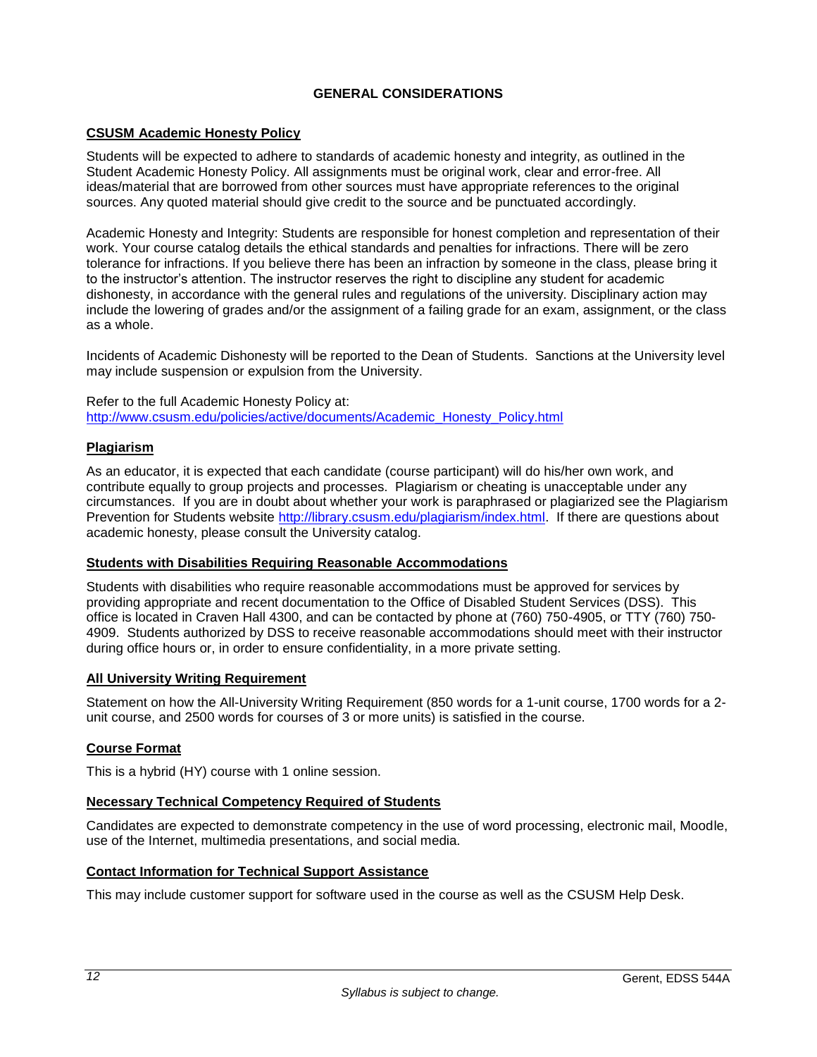# **GENERAL CONSIDERATIONS**

## <span id="page-13-1"></span><span id="page-13-0"></span>**CSUSM Academic Honesty Policy**

Students will be expected to adhere to standards of academic honesty and integrity, as outlined in the Student Academic Honesty Policy. All assignments must be original work, clear and error-free. All ideas/material that are borrowed from other sources must have appropriate references to the original sources. Any quoted material should give credit to the source and be punctuated accordingly.

Academic Honesty and Integrity: Students are responsible for honest completion and representation of their work. Your course catalog details the ethical standards and penalties for infractions. There will be zero tolerance for infractions. If you believe there has been an infraction by someone in the class, please bring it to the instructor's attention. The instructor reserves the right to discipline any student for academic dishonesty, in accordance with the general rules and regulations of the university. Disciplinary action may include the lowering of grades and/or the assignment of a failing grade for an exam, assignment, or the class as a whole.

Incidents of Academic Dishonesty will be reported to the Dean of Students. Sanctions at the University level may include suspension or expulsion from the University.

Refer to the full Academic Honesty Policy at: [http://www.csusm.edu/policies/active/documents/Academic\\_Honesty\\_Policy.html](http://www.csusm.edu/policies/active/documents/Academic_Honesty_Policy.html)

## <span id="page-13-2"></span>**Plagiarism**

As an educator, it is expected that each candidate (course participant) will do his/her own work, and contribute equally to group projects and processes. Plagiarism or cheating is unacceptable under any circumstances. If you are in doubt about whether your work is paraphrased or plagiarized see the Plagiarism Prevention for Students website [http://library.csusm.edu/plagiarism/index.html.](http://library.csusm.edu/plagiarism/index.html) If there are questions about academic honesty, please consult the University catalog.

## <span id="page-13-3"></span>**Students with Disabilities Requiring Reasonable Accommodations**

Students with disabilities who require reasonable accommodations must be approved for services by providing appropriate and recent documentation to the Office of Disabled Student Services (DSS). This office is located in Craven Hall 4300, and can be contacted by phone at (760) 750-4905, or TTY (760) 750- 4909. Students authorized by DSS to receive reasonable accommodations should meet with their instructor during office hours or, in order to ensure confidentiality, in a more private setting.

## <span id="page-13-4"></span>**All University Writing Requirement**

Statement on how the All-University Writing Requirement (850 words for a 1-unit course, 1700 words for a 2 unit course, and 2500 words for courses of 3 or more units) is satisfied in the course.

## <span id="page-13-5"></span>**Course Format**

This is a hybrid (HY) course with 1 online session.

## <span id="page-13-6"></span>**Necessary Technical Competency Required of Students**

Candidates are expected to demonstrate competency in the use of word processing, electronic mail, Moodle, use of the Internet, multimedia presentations, and social media.

## <span id="page-13-7"></span>**Contact Information for Technical Support Assistance**

This may include customer support for software used in the course as well as the CSUSM Help Desk.